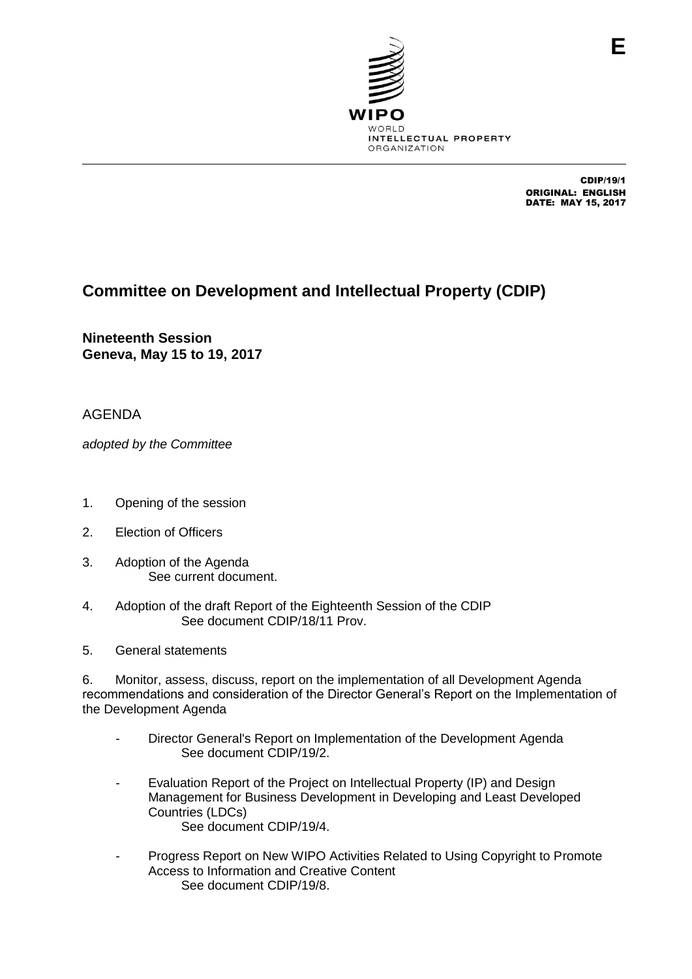

CDIP/19/1 ORIGINAL: ENGLISH DATE: MAY 15, 2017

## **Committee on Development and Intellectual Property (CDIP)**

**Nineteenth Session Geneva, May 15 to 19, 2017**

AGENDA

*adopted by the Committee*

- 1. Opening of the session
- 2. Election of Officers
- 3. Adoption of the Agenda See current document.
- 4. Adoption of the draft Report of the Eighteenth Session of the CDIP See document CDIP/18/11 Prov.
- 5. General statements

6. Monitor, assess, discuss, report on the implementation of all Development Agenda recommendations and consideration of the Director General's Report on the Implementation of the Development Agenda

- Director General's Report on Implementation of the Development Agenda See document CDIP/19/2.
- Evaluation Report of the Project on Intellectual Property (IP) and Design Management for Business Development in Developing and Least Developed Countries (LDCs) See document CDIP/19/4.
- Progress Report on New WIPO Activities Related to Using Copyright to Promote Access to Information and Creative Content See document CDIP/19/8.

**E**